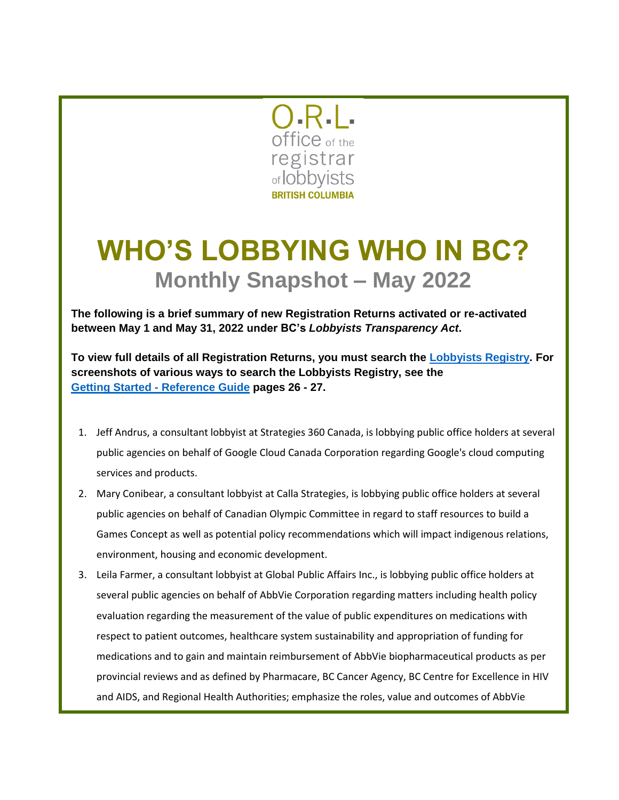

## **WHO'S LOBBYING WHO IN BC? Monthly Snapshot – May 2022**

**The following is a brief summary of new Registration Returns activated or re-activated between May 1 and May 31, 2022 under BC's** *Lobbyists Transparency Act***.** 

**To view full details of all Registration Returns, you must search the [Lobbyists Registry.](https://www.lobbyistsregistrar.bc.ca/app/secure/orl/lrs/do/guest) For screenshots of various ways to search the Lobbyists Registry, see the Getting Started - [Reference Guide](https://www.lobbyistsregistrar.bc.ca/handlers/DocumentHandler.ashx?DocumentID=417) pages 26 - 27.**

- 1. Jeff Andrus, a consultant lobbyist at Strategies 360 Canada, is lobbying public office holders at several public agencies on behalf of Google Cloud Canada Corporation regarding Google's cloud computing services and products.
- 2. Mary Conibear, a consultant lobbyist at Calla Strategies, is lobbying public office holders at several public agencies on behalf of Canadian Olympic Committee in regard to staff resources to build a Games Concept as well as potential policy recommendations which will impact indigenous relations, environment, housing and economic development.
- 3. Leila Farmer, a consultant lobbyist at Global Public Affairs Inc., is lobbying public office holders at several public agencies on behalf of AbbVie Corporation regarding matters including health policy evaluation regarding the measurement of the value of public expenditures on medications with respect to patient outcomes, healthcare system sustainability and appropriation of funding for medications and to gain and maintain reimbursement of AbbVie biopharmaceutical products as per provincial reviews and as defined by Pharmacare, BC Cancer Agency, BC Centre for Excellence in HIV and AIDS, and Regional Health Authorities; emphasize the roles, value and outcomes of AbbVie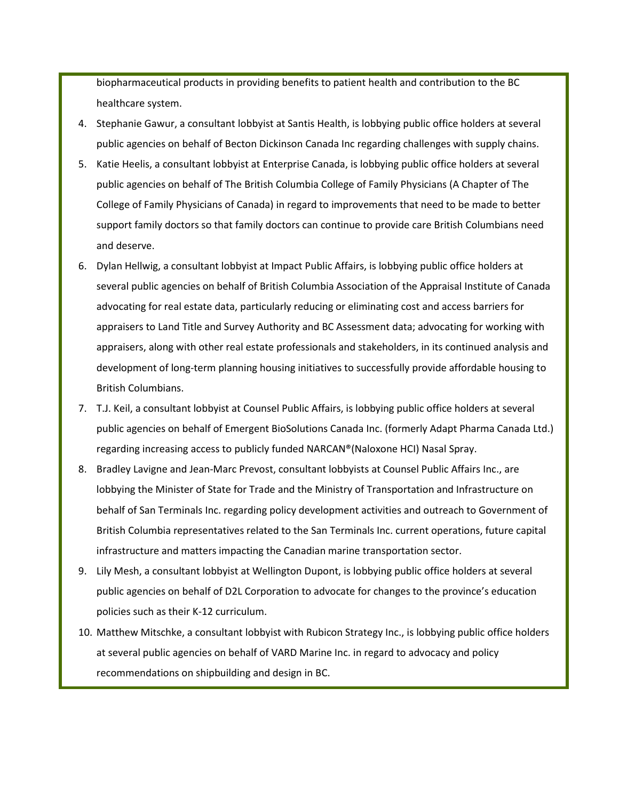biopharmaceutical products in providing benefits to patient health and contribution to the BC healthcare system.

- 4. Stephanie Gawur, a consultant lobbyist at Santis Health, is lobbying public office holders at several public agencies on behalf of Becton Dickinson Canada Inc regarding challenges with supply chains.
- 5. Katie Heelis, a consultant lobbyist at Enterprise Canada, is lobbying public office holders at several public agencies on behalf of The British Columbia College of Family Physicians (A Chapter of The College of Family Physicians of Canada) in regard to improvements that need to be made to better support family doctors so that family doctors can continue to provide care British Columbians need and deserve.
- 6. Dylan Hellwig, a consultant lobbyist at Impact Public Affairs, is lobbying public office holders at several public agencies on behalf of British Columbia Association of the Appraisal Institute of Canada advocating for real estate data, particularly reducing or eliminating cost and access barriers for appraisers to Land Title and Survey Authority and BC Assessment data; advocating for working with appraisers, along with other real estate professionals and stakeholders, in its continued analysis and development of long-term planning housing initiatives to successfully provide affordable housing to British Columbians.
- 7. T.J. Keil, a consultant lobbyist at Counsel Public Affairs, is lobbying public office holders at several public agencies on behalf of Emergent BioSolutions Canada Inc. (formerly Adapt Pharma Canada Ltd.) regarding increasing access to publicly funded NARCAN®(Naloxone HCI) Nasal Spray.
- 8. Bradley Lavigne and Jean-Marc Prevost, consultant lobbyists at Counsel Public Affairs Inc., are lobbying the Minister of State for Trade and the Ministry of Transportation and Infrastructure on behalf of San Terminals Inc. regarding policy development activities and outreach to Government of British Columbia representatives related to the San Terminals Inc. current operations, future capital infrastructure and matters impacting the Canadian marine transportation sector.
- 9. Lily Mesh, a consultant lobbyist at Wellington Dupont, is lobbying public office holders at several public agencies on behalf of D2L Corporation to advocate for changes to the province's education policies such as their K-12 curriculum.
- 10. Matthew Mitschke, a consultant lobbyist with Rubicon Strategy Inc., is lobbying public office holders at several public agencies on behalf of VARD Marine Inc. in regard to advocacy and policy recommendations on shipbuilding and design in BC.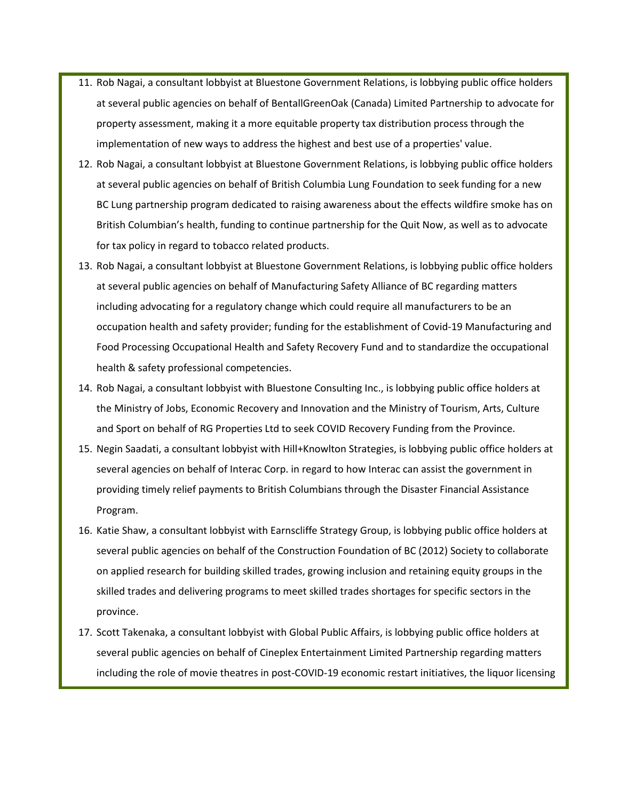- 11. Rob Nagai, a consultant lobbyist at Bluestone Government Relations, is lobbying public office holders at several public agencies on behalf of BentallGreenOak (Canada) Limited Partnership to advocate for property assessment, making it a more equitable property tax distribution process through the implementation of new ways to address the highest and best use of a properties' value.
- 12. Rob Nagai, a consultant lobbyist at Bluestone Government Relations, is lobbying public office holders at several public agencies on behalf of British Columbia Lung Foundation to seek funding for a new BC Lung partnership program dedicated to raising awareness about the effects wildfire smoke has on British Columbian's health, funding to continue partnership for the Quit Now, as well as to advocate for tax policy in regard to tobacco related products.
- 13. Rob Nagai, a consultant lobbyist at Bluestone Government Relations, is lobbying public office holders at several public agencies on behalf of Manufacturing Safety Alliance of BC regarding matters including advocating for a regulatory change which could require all manufacturers to be an occupation health and safety provider; funding for the establishment of Covid-19 Manufacturing and Food Processing Occupational Health and Safety Recovery Fund and to standardize the occupational health & safety professional competencies.
- 14. Rob Nagai, a consultant lobbyist with Bluestone Consulting Inc., is lobbying public office holders at the Ministry of Jobs, Economic Recovery and Innovation and the Ministry of Tourism, Arts, Culture and Sport on behalf of RG Properties Ltd to seek COVID Recovery Funding from the Province.
- 15. Negin Saadati, a consultant lobbyist with Hill+Knowlton Strategies, is lobbying public office holders at several agencies on behalf of Interac Corp. in regard to how Interac can assist the government in providing timely relief payments to British Columbians through the Disaster Financial Assistance Program.
- 16. Katie Shaw, a consultant lobbyist with Earnscliffe Strategy Group, is lobbying public office holders at several public agencies on behalf of the Construction Foundation of BC (2012) Society to collaborate on applied research for building skilled trades, growing inclusion and retaining equity groups in the skilled trades and delivering programs to meet skilled trades shortages for specific sectors in the province.
- 17. Scott Takenaka, a consultant lobbyist with Global Public Affairs, is lobbying public office holders at several public agencies on behalf of Cineplex Entertainment Limited Partnership regarding matters including the role of movie theatres in post-COVID-19 economic restart initiatives, the liquor licensing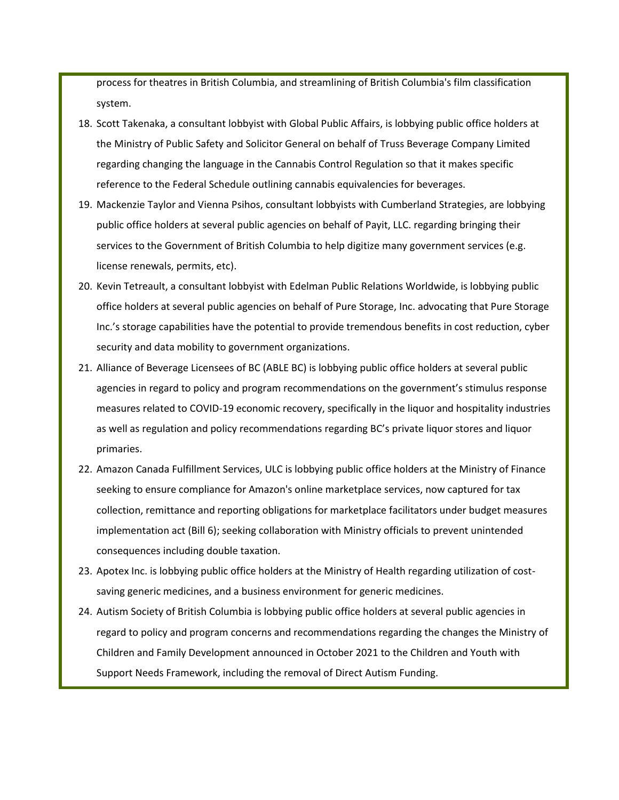process for theatres in British Columbia, and streamlining of British Columbia's film classification system.

- 18. Scott Takenaka, a consultant lobbyist with Global Public Affairs, is lobbying public office holders at the Ministry of Public Safety and Solicitor General on behalf of Truss Beverage Company Limited regarding changing the language in the Cannabis Control Regulation so that it makes specific reference to the Federal Schedule outlining cannabis equivalencies for beverages.
- 19. Mackenzie Taylor and Vienna Psihos, consultant lobbyists with Cumberland Strategies, are lobbying public office holders at several public agencies on behalf of Payit, LLC. regarding bringing their services to the Government of British Columbia to help digitize many government services (e.g. license renewals, permits, etc).
- 20. Kevin Tetreault, a consultant lobbyist with Edelman Public Relations Worldwide, is lobbying public office holders at several public agencies on behalf of Pure Storage, Inc. advocating that Pure Storage Inc.'s storage capabilities have the potential to provide tremendous benefits in cost reduction, cyber security and data mobility to government organizations.
- 21. Alliance of Beverage Licensees of BC (ABLE BC) is lobbying public office holders at several public agencies in regard to policy and program recommendations on the government's stimulus response measures related to COVID-19 economic recovery, specifically in the liquor and hospitality industries as well as regulation and policy recommendations regarding BC's private liquor stores and liquor primaries.
- 22. Amazon Canada Fulfillment Services, ULC is lobbying public office holders at the Ministry of Finance seeking to ensure compliance for Amazon's online marketplace services, now captured for tax collection, remittance and reporting obligations for marketplace facilitators under budget measures implementation act (Bill 6); seeking collaboration with Ministry officials to prevent unintended consequences including double taxation.
- 23. Apotex Inc. is lobbying public office holders at the Ministry of Health regarding utilization of costsaving generic medicines, and a business environment for generic medicines.
- 24. Autism Society of British Columbia is lobbying public office holders at several public agencies in regard to policy and program concerns and recommendations regarding the changes the Ministry of Children and Family Development announced in October 2021 to the Children and Youth with Support Needs Framework, including the removal of Direct Autism Funding.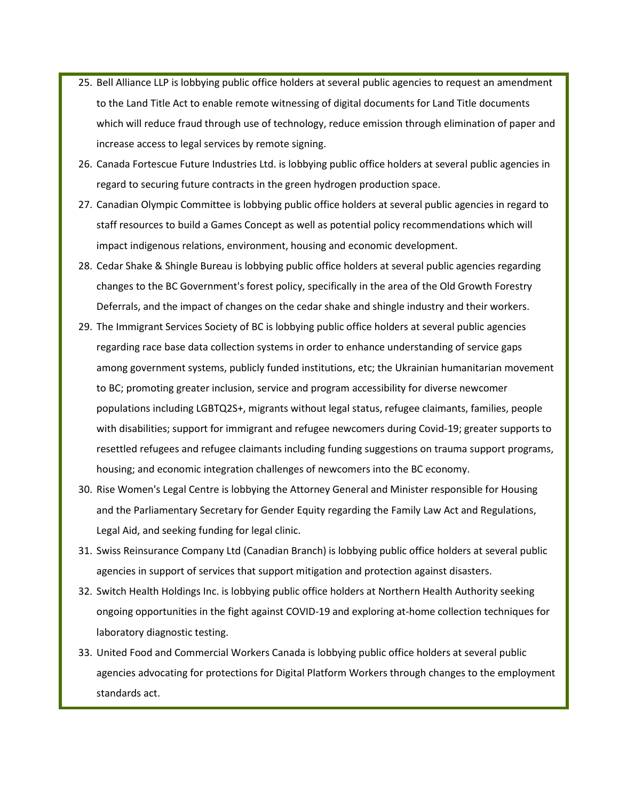- 25. Bell Alliance LLP is lobbying public office holders at several public agencies to request an amendment to the Land Title Act to enable remote witnessing of digital documents for Land Title documents which will reduce fraud through use of technology, reduce emission through elimination of paper and increase access to legal services by remote signing.
- 26. Canada Fortescue Future Industries Ltd. is lobbying public office holders at several public agencies in regard to securing future contracts in the green hydrogen production space.
- 27. Canadian Olympic Committee is lobbying public office holders at several public agencies in regard to staff resources to build a Games Concept as well as potential policy recommendations which will impact indigenous relations, environment, housing and economic development.
- 28. Cedar Shake & Shingle Bureau is lobbying public office holders at several public agencies regarding changes to the BC Government's forest policy, specifically in the area of the Old Growth Forestry Deferrals, and the impact of changes on the cedar shake and shingle industry and their workers.
- 29. The Immigrant Services Society of BC is lobbying public office holders at several public agencies regarding race base data collection systems in order to enhance understanding of service gaps among government systems, publicly funded institutions, etc; the Ukrainian humanitarian movement to BC; promoting greater inclusion, service and program accessibility for diverse newcomer populations including LGBTQ2S+, migrants without legal status, refugee claimants, families, people with disabilities; support for immigrant and refugee newcomers during Covid-19; greater supports to resettled refugees and refugee claimants including funding suggestions on trauma support programs, housing; and economic integration challenges of newcomers into the BC economy.
- 30. Rise Women's Legal Centre is lobbying the Attorney General and Minister responsible for Housing and the Parliamentary Secretary for Gender Equity regarding the Family Law Act and Regulations, Legal Aid, and seeking funding for legal clinic.
- 31. Swiss Reinsurance Company Ltd (Canadian Branch) is lobbying public office holders at several public agencies in support of services that support mitigation and protection against disasters.
- 32. Switch Health Holdings Inc. is lobbying public office holders at Northern Health Authority seeking ongoing opportunities in the fight against COVID-19 and exploring at-home collection techniques for laboratory diagnostic testing.
- 33. United Food and Commercial Workers Canada is lobbying public office holders at several public agencies advocating for protections for Digital Platform Workers through changes to the employment standards act.